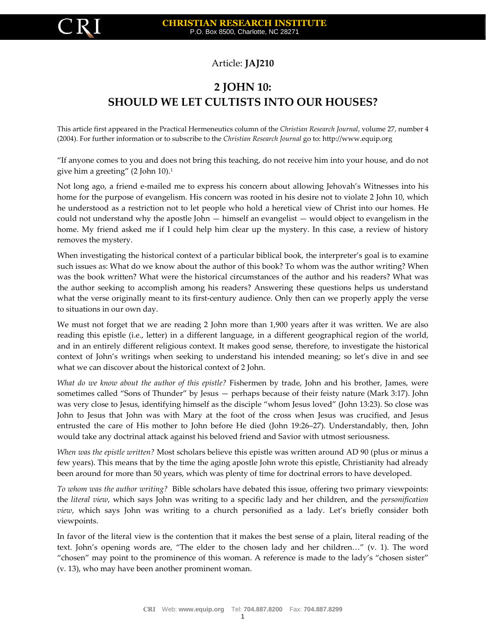

## Article: **JAJ210**

## **2 JOHN 10: SHOULD WE LET CULTISTS INTO OUR HOUSES?**

This article first appeared in the Practical Hermeneutics column of the *Christian Research Journal*, volume 27, number 4 (2004). For further information or to subscribe to the *Christian Research Journal* go to: http://www.equip.org

"If anyone comes to you and does not bring this teaching, do not receive him into your house, and do not give him a greeting" (2 John 10).<sup>1</sup>

Not long ago, a friend e-mailed me to express his concern about allowing Jehovah's Witnesses into his home for the purpose of evangelism. His concern was rooted in his desire not to violate 2 John 10, which he understood as a restriction not to let people who hold a heretical view of Christ into our homes. He could not understand why the apostle John — himself an evangelist — would object to evangelism in the home. My friend asked me if I could help him clear up the mystery. In this case, a review of history removes the mystery.

When investigating the historical context of a particular biblical book, the interpreter's goal is to examine such issues as: What do we know about the author of this book? To whom was the author writing? When was the book written? What were the historical circumstances of the author and his readers? What was the author seeking to accomplish among his readers? Answering these questions helps us understand what the verse originally meant to its first-century audience. Only then can we properly apply the verse to situations in our own day.

We must not forget that we are reading 2 John more than 1,900 years after it was written. We are also reading this epistle (i.e., letter) in a different language, in a different geographical region of the world, and in an entirely different religious context. It makes good sense, therefore, to investigate the historical context of John's writings when seeking to understand his intended meaning; so let's dive in and see what we can discover about the historical context of 2 John.

*What do we know about the author of this epistle?* Fishermen by trade, John and his brother, James, were sometimes called "Sons of Thunder" by Jesus — perhaps because of their feisty nature (Mark 3:17). John was very close to Jesus, identifying himself as the disciple "whom Jesus loved" (John 13:23). So close was John to Jesus that John was with Mary at the foot of the cross when Jesus was crucified, and Jesus entrusted the care of His mother to John before He died (John 19:26–27). Understandably, then, John would take any doctrinal attack against his beloved friend and Savior with utmost seriousness.

*When was the epistle written?* Most scholars believe this epistle was written around AD 90 (plus or minus a few years). This means that by the time the aging apostle John wrote this epistle, Christianity had already been around for more than 50 years, which was plenty of time for doctrinal errors to have developed.

*To whom was the author writing?* Bible scholars have debated this issue, offering two primary viewpoints: the *literal view*, which says John was writing to a specific lady and her children, and the *personification view*, which says John was writing to a church personified as a lady. Let's briefly consider both viewpoints.

In favor of the literal view is the contention that it makes the best sense of a plain, literal reading of the text. John's opening words are, "The elder to the chosen lady and her children…" (v. 1). The word "chosen" may point to the prominence of this woman. A reference is made to the lady's "chosen sister" (v. 13), who may have been another prominent woman.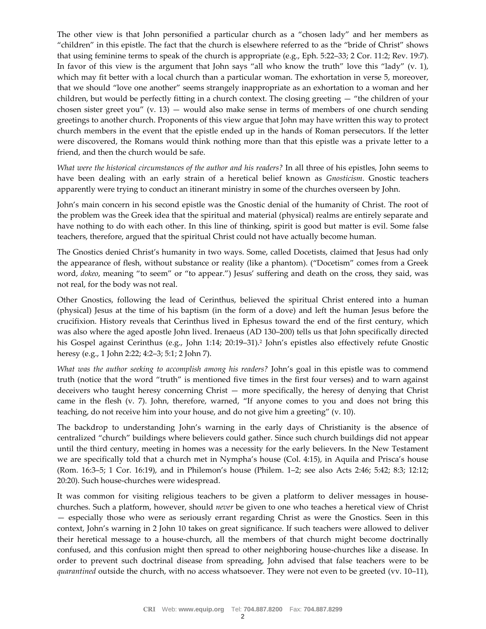The other view is that John personified a particular church as a "chosen lady" and her members as "children" in this epistle. The fact that the church is elsewhere referred to as the "bride of Christ" shows that using feminine terms to speak of the church is appropriate (e.g., Eph. 5:22–33; 2 Cor. 11:2; Rev. 19:7). In favor of this view is the argument that John says "all who know the truth" love this "lady" (v. 1), which may fit better with a local church than a particular woman. The exhortation in verse 5, moreover, that we should "love one another" seems strangely inappropriate as an exhortation to a woman and her children, but would be perfectly fitting in a church context. The closing greeting — "the children of your chosen sister greet you"  $(v. 13)$  — would also make sense in terms of members of one church sending greetings to another church. Proponents of this view argue that John may have written this way to protect church members in the event that the epistle ended up in the hands of Roman persecutors. If the letter were discovered, the Romans would think nothing more than that this epistle was a private letter to a friend, and then the church would be safe.

*What were the historical circumstances of the author and his readers?* In all three of his epistles, John seems to have been dealing with an early strain of a heretical belief known as *Gnosticism*. Gnostic teachers apparently were trying to conduct an itinerant ministry in some of the churches overseen by John.

John's main concern in his second epistle was the Gnostic denial of the humanity of Christ. The root of the problem was the Greek idea that the spiritual and material (physical) realms are entirely separate and have nothing to do with each other. In this line of thinking, spirit is good but matter is evil. Some false teachers, therefore, argued that the spiritual Christ could not have actually become human.

The Gnostics denied Christ's humanity in two ways. Some, called Docetists, claimed that Jesus had only the appearance of flesh, without substance or reality (like a phantom). ("Docetism" comes from a Greek word, *dokeo*, meaning "to seem" or "to appear.") Jesus' suffering and death on the cross, they said, was not real, for the body was not real.

Other Gnostics, following the lead of Cerinthus, believed the spiritual Christ entered into a human (physical) Jesus at the time of his baptism (in the form of a dove) and left the human Jesus before the crucifixion. History reveals that Cerinthus lived in Ephesus toward the end of the first century, which was also where the aged apostle John lived. Irenaeus (AD 130–200) tells us that John specifically directed his Gospel against Cerinthus (e.g., John 1:14; 20:19–31).<sup>2</sup> John's epistles also effectively refute Gnostic heresy (e.g., 1 John 2:22; 4:2–3; 5:1; 2 John 7).

*What was the author seeking to accomplish among his readers?* John's goal in this epistle was to commend truth (notice that the word "truth" is mentioned five times in the first four verses) and to warn against deceivers who taught heresy concerning Christ — more specifically, the heresy of denying that Christ came in the flesh (v. 7). John, therefore, warned, "If anyone comes to you and does not bring this teaching, do not receive him into your house, and do not give him a greeting" (v. 10).

The backdrop to understanding John's warning in the early days of Christianity is the absence of centralized "church" buildings where believers could gather. Since such church buildings did not appear until the third century, meeting in homes was a necessity for the early believers. In the New Testament we are specifically told that a church met in Nympha's house (Col. 4:15), in Aquila and Prisca's house (Rom. 16:3–5; 1 Cor. 16:19), and in Philemon's house (Philem. 1–2; see also Acts 2:46; 5:42; 8:3; 12:12; 20:20). Such house-churches were widespread.

It was common for visiting religious teachers to be given a platform to deliver messages in housechurches. Such a platform, however, should *never* be given to one who teaches a heretical view of Christ — especially those who were as seriously errant regarding Christ as were the Gnostics. Seen in this context, John's warning in 2 John 10 takes on great significance. If such teachers were allowed to deliver their heretical message to a house-church, all the members of that church might become doctrinally confused, and this confusion might then spread to other neighboring house-churches like a disease. In order to prevent such doctrinal disease from spreading, John advised that false teachers were to be *quarantined* outside the church, with no access whatsoever. They were not even to be greeted (vv. 10–11),